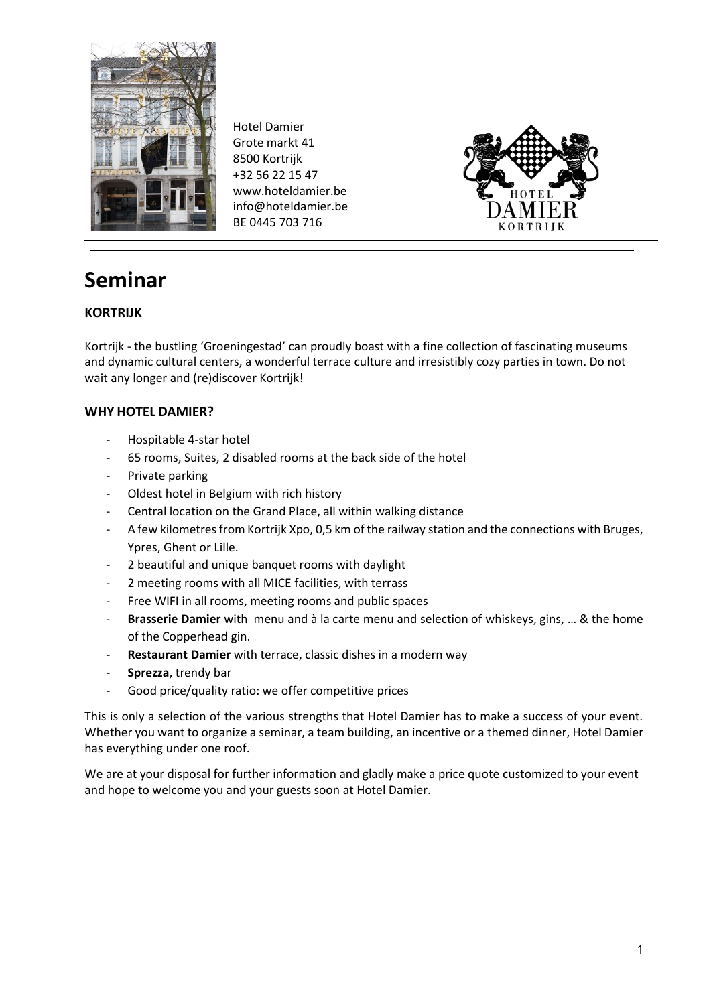

Hotel Damier Grote markt 41 8500 Kortrijk +32 56 22 15 47 www.hoteldamier.be info@hoteldamier.be BE 0445 703 716



## **Seminar**

#### **KORTRIJK**

Kortrijk - the bustling 'Groeningestad' can proudly boast with a fine collection of fascinating museums and dynamic cultural centers, a wonderful terrace culture and irresistibly cozy parties in town. Do not wait any longer and (re)discover Kortrijk!

#### **WHY HOTEL DAMIER?**

- ‐ Hospitable 4-star hotel
- ‐ 65 rooms, Suites, 2 disabled rooms at the back side of the hotel
- ‐ Private parking
- ‐ Oldest hotel in Belgium with rich history
- ‐ Central location on the Grand Place, all within walking distance
- A few kilometres from Kortrijk Xpo, 0,5 km of the railway station and the connections with Bruges, Ypres, Ghent or Lille.
- ‐ 2 beautiful and unique banquet rooms with daylight
- ‐ 2 meeting rooms with all MICE facilities, with terrass
- ‐ Free WIFI in all rooms, meeting rooms and public spaces
- ‐ **Brasserie Damier** with menu and à la carte menu and selection of whiskeys, gins, … & the home of the Copperhead gin.
- ‐ **Restaurant Damier** with terrace, classic dishes in a modern way
- ‐ **Sprezza**, trendy bar
- ‐ Good price/quality ratio: we offer competitive prices

This is only a selection of the various strengths that Hotel Damier has to make a success of your event. Whether you want to organize a seminar, a team building, an incentive or a themed dinner, Hotel Damier has everything under one roof.

We are at your disposal for further information and gladly make a price quote customized to your event and hope to welcome you and your guests soon at Hotel Damier.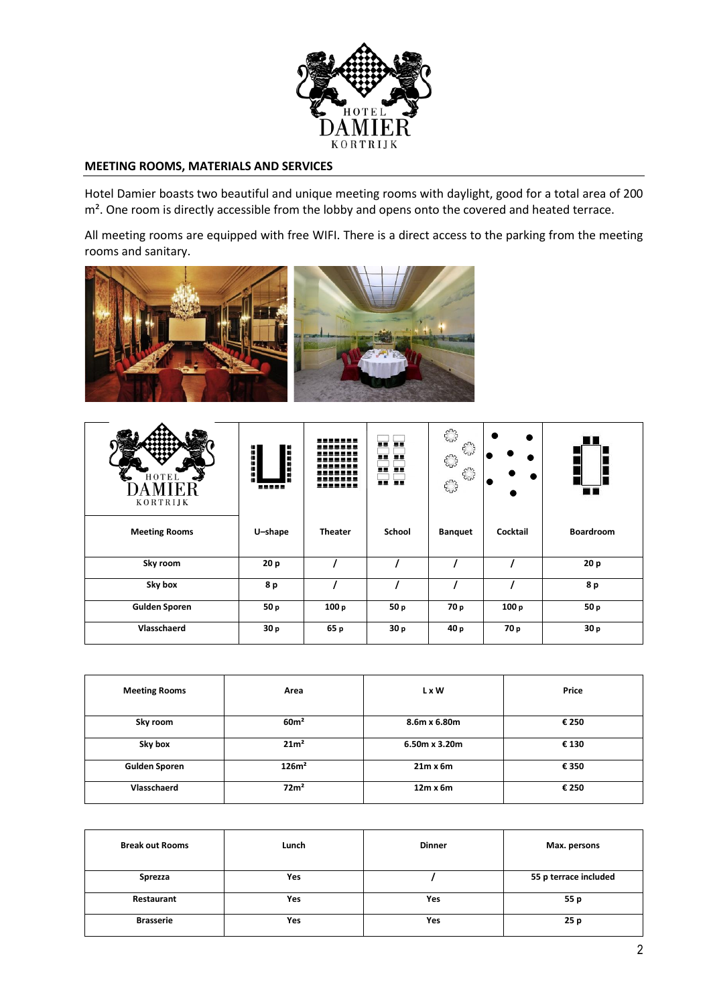

#### **MEETING ROOMS, MATERIALS AND SERVICES**

Hotel Damier boasts two beautiful and unique meeting rooms with daylight, good for a total area of 200 m<sup>2</sup>. One room is directly accessible from the lobby and opens onto the covered and heated terrace.

All meeting rooms are equipped with free WIFI. There is a direct access to the parking from the meeting rooms and sanitary.



| HOTEL<br>F.R<br>KORTRIJK | H<br>ū<br>88888 | <u>.</u><br>----<br>.<br>----<br>.<br>_______ | 更更<br><b>BE BE</b><br>夏夏 夏夏<br>夏夏夏 | 53<br>$5^{12}_{12}$<br>$\epsilon_{\omega}^{\text{max}}$<br>$5^{12}_{12}$<br>53 |          |                  |
|--------------------------|-----------------|-----------------------------------------------|------------------------------------|--------------------------------------------------------------------------------|----------|------------------|
| <b>Meeting Rooms</b>     | U-shape         | <b>Theater</b>                                | School                             | <b>Banquet</b>                                                                 | Cocktail | <b>Boardroom</b> |
| Sky room                 | 20 <sub>p</sub> |                                               |                                    |                                                                                |          | 20 p             |
| Sky box                  | 8 p             |                                               |                                    |                                                                                |          | 8 p              |
| <b>Gulden Sporen</b>     | 50 p            | 100p                                          | 50p                                | 70 p                                                                           | 100p     | 50p              |
| Vlasschaerd              | 30p             | 65 p                                          | 30 p                               | 40 p                                                                           | 70 p     | 30 p             |

| <b>Meeting Rooms</b> | Area              | L x W           | Price |
|----------------------|-------------------|-----------------|-------|
| Sky room             | 60 <sup>m²</sup>  | 8.6m x 6.80m    | € 250 |
| Sky box              | 21m <sup>2</sup>  | 6.50m x 3.20m   | € 130 |
| <b>Gulden Sporen</b> | 126m <sup>2</sup> | $21m \times 6m$ | € 350 |
| <b>Vlasschaerd</b>   | 72m <sup>2</sup>  | $12m \times 6m$ | € 250 |

| <b>Break out Rooms</b> | Lunch | <b>Dinner</b> | Max. persons          |
|------------------------|-------|---------------|-----------------------|
| Sprezza                | Yes   |               | 55 p terrace included |
| Restaurant             | Yes   | Yes           | 55 p                  |
| <b>Brasserie</b>       | Yes   | Yes           | 25p                   |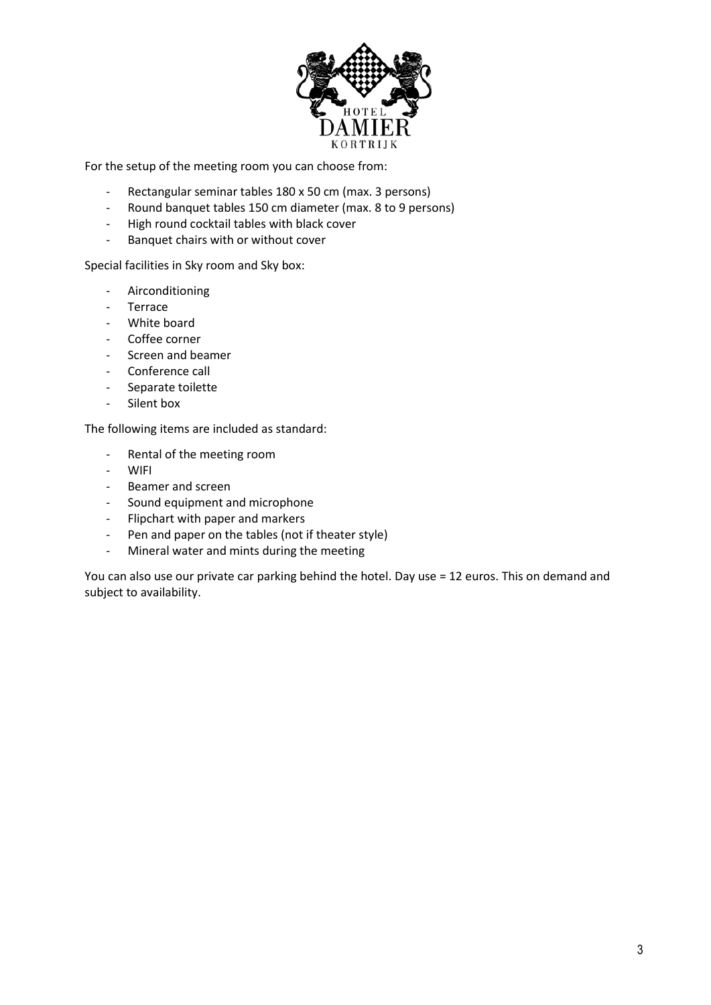

For the setup of the meeting room you can choose from:

- ‐ Rectangular seminar tables 180 x 50 cm (max. 3 persons)
- ‐ Round banquet tables 150 cm diameter (max. 8 to 9 persons)
- ‐ High round cocktail tables with black cover
- ‐ Banquet chairs with or without cover

Special facilities in Sky room and Sky box:

- Airconditioning
- Terrace
- White board
- Coffee corner
- Screen and beamer
- Conference call
- Separate toilette
- Silent box

The following items are included as standard:

- ‐ Rental of the meeting room
- ‐ WIFI
- ‐ Beamer and screen
- Sound equipment and microphone
- ‐ Flipchart with paper and markers
- ‐ Pen and paper on the tables (not if theater style)
- ‐ Mineral water and mints during the meeting

You can also use our private car parking behind the hotel. Day use = 12 euros. This on demand and subject to availability.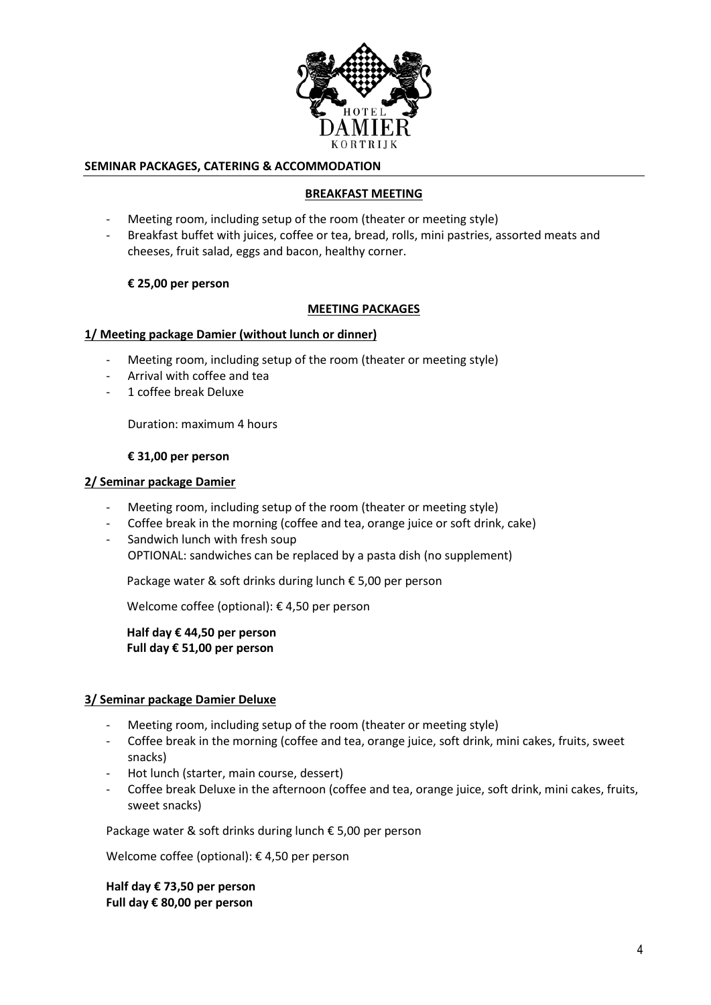

#### **SEMINAR PACKAGES, CATERING & ACCOMMODATION**

#### **BREAKFAST MEETING**

- ‐ Meeting room, including setup of the room (theater or meeting style)
- ‐ Breakfast buffet with juices, coffee or tea, bread, rolls, mini pastries, assorted meats and cheeses, fruit salad, eggs and bacon, healthy corner.

#### **€ 25,00 per person**

#### **MEETING PACKAGES**

#### **1/ Meeting package Damier (without lunch or dinner)**

- ‐ Meeting room, including setup of the room (theater or meeting style)
- ‐ Arrival with coffee and tea
- ‐ 1 coffee break Deluxe

Duration: maximum 4 hours

#### **€ 31,00 per person**

#### **2/ Seminar package Damier**

- ‐ Meeting room, including setup of the room (theater or meeting style)
- ‐ Coffee break in the morning (coffee and tea, orange juice or soft drink, cake)
- Sandwich lunch with fresh soup OPTIONAL: sandwiches can be replaced by a pasta dish (no supplement)

Package water & soft drinks during lunch € 5,00 per person

Welcome coffee (optional): € 4,50 per person

**Half day € 44,50 per person Full day € 51,00 per person**

#### **3/ Seminar package Damier Deluxe**

- ‐ Meeting room, including setup of the room (theater or meeting style)
- ‐ Coffee break in the morning (coffee and tea, orange juice, soft drink, mini cakes, fruits, sweet snacks)
- ‐ Hot lunch (starter, main course, dessert)
- ‐ Coffee break Deluxe in the afternoon (coffee and tea, orange juice, soft drink, mini cakes, fruits, sweet snacks)

Package water & soft drinks during lunch € 5,00 per person

Welcome coffee (optional): € 4,50 per person

**Half day € 73,50 per person Full day € 80,00 per person**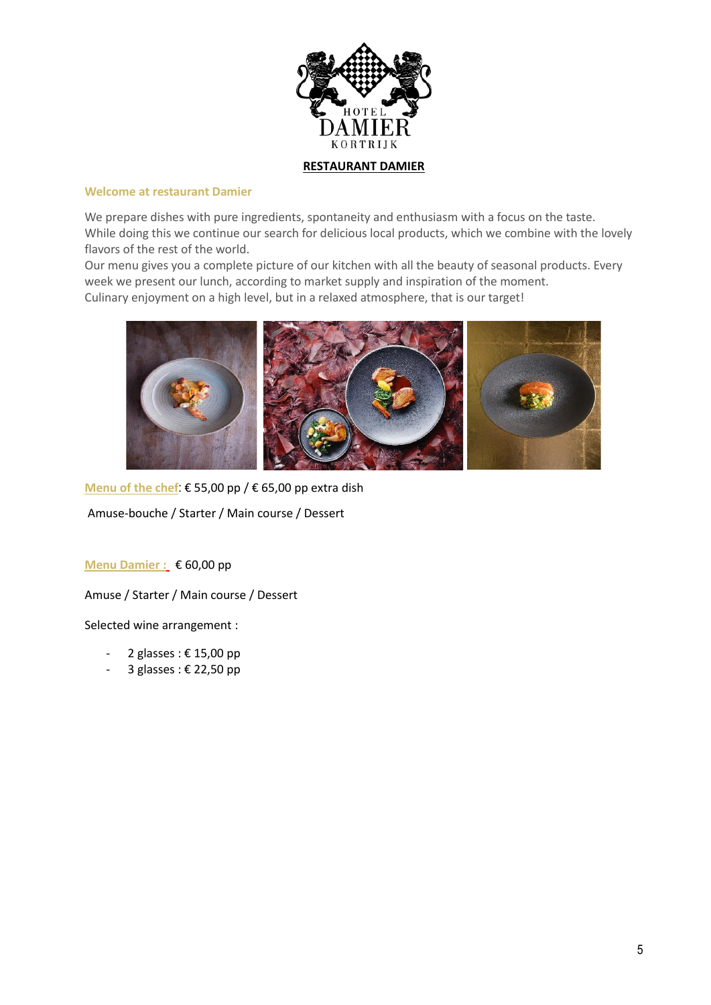

#### **Welcome at restaurant Damier**

We prepare dishes with pure ingredients, spontaneity and enthusiasm with a focus on the taste. While doing this we continue our search for delicious local products, which we combine with the lovely flavors of the rest of the world.

Our menu gives you a complete picture of our kitchen with all the beauty of seasonal products. Every week we present our lunch, according to market supply and inspiration of the moment. Culinary enjoyment on a high level, but in a relaxed atmosphere, that is our target!



**Menu of the chef**: € 55,00 pp / € 65,00 pp extra dish

Amuse-bouche / Starter / Main course / Dessert

**Menu Damier :** € 60,00 pp

Amuse / Starter / Main course / Dessert

Selected wine arrangement :

- 2 glasses : € 15,00 pp
- 3 glasses : € 22,50 pp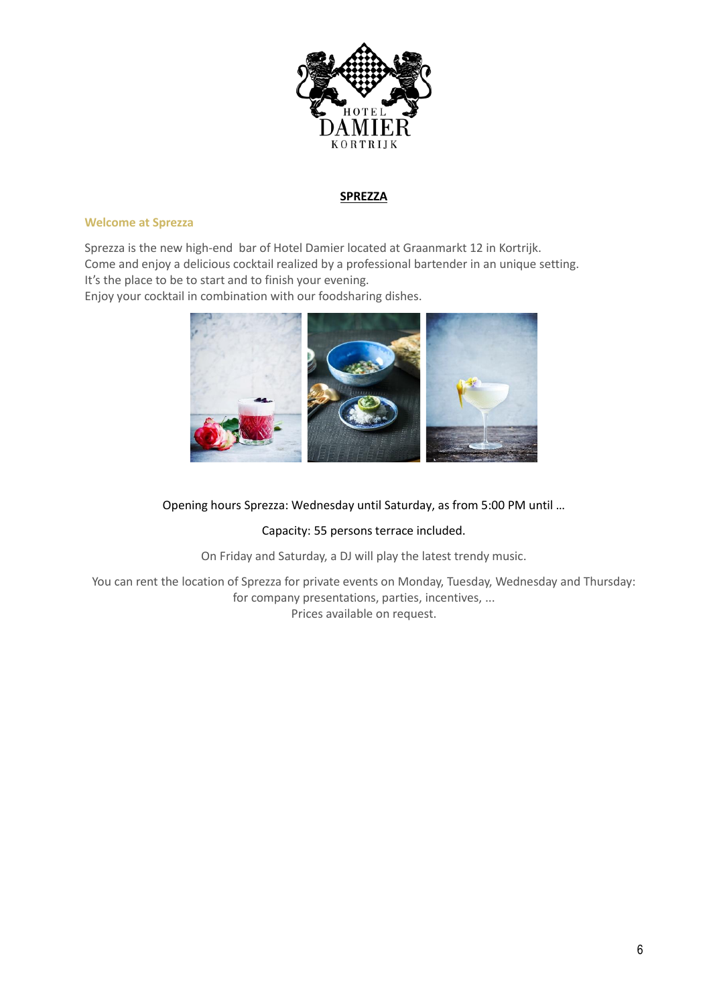

#### **SPREZZA**

#### **Welcome at Sprezza**

Sprezza is the new high‐end bar of Hotel Damier located at Graanmarkt 12 in Kortrijk. Come and enjoy a delicious cocktail realized by a professional bartender in an unique setting. It's the place to be to start and to finish your evening.

Enjoy your cocktail in combination with our foodsharing dishes.



#### Opening hours Sprezza: Wednesday until Saturday, as from 5:00 PM until …

#### Capacity: 55 persons terrace included.

On Friday and Saturday, a DJ will play the latest trendy music.

You can rent the location of Sprezza for private events on Monday, Tuesday, Wednesday and Thursday: for company presentations, parties, incentives, ... Prices available on request.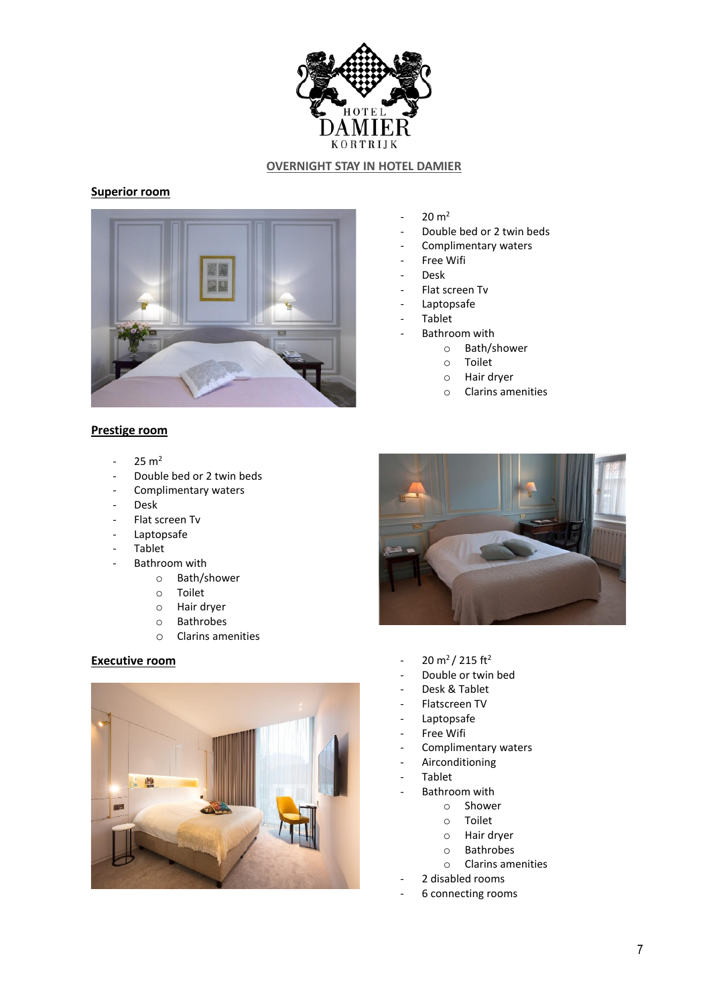

#### **OVERNIGHT STAY IN HOTEL DAMIER**

#### **Superior room**



- $20 \, \text{m}^2$
- Double bed or 2 twin beds
- Complimentary waters
- Free Wifi
- Desk
- Flat screen Tv
- Laptopsafe
- **Tablet**
- Bathroom with
	- o Bath/shower
		- o Toilet
		- o Hair dryer
		- o Clarins amenities

#### **Prestige room**

- $25 m<sup>2</sup>$
- Double bed or 2 twin beds
- Complimentary waters
- Desk
- Flat screen Tv
- Laptopsafe
- **Tablet**
- Bathroom with
	- o Bath/shower
		- o Toilet
		- o Hair dryer
		- o Bathrobes
		- o Clarins amenities





- **Executive room** 20 m<sup>2</sup>/ 215 ft<sup>2</sup>
	- Double or twin bed
	- Desk & Tablet
	- Flatscreen TV
	- Laptopsafe
	- Free Wifi
	- Complimentary waters
	- Airconditioning
	- **Tablet** 
		- Bathroom with
			- o Shower
			- o Toilet
			- o Hair dryer
			- o Bathrobes
			- o Clarins amenities
	- 2 disabled rooms
	- 6 connecting rooms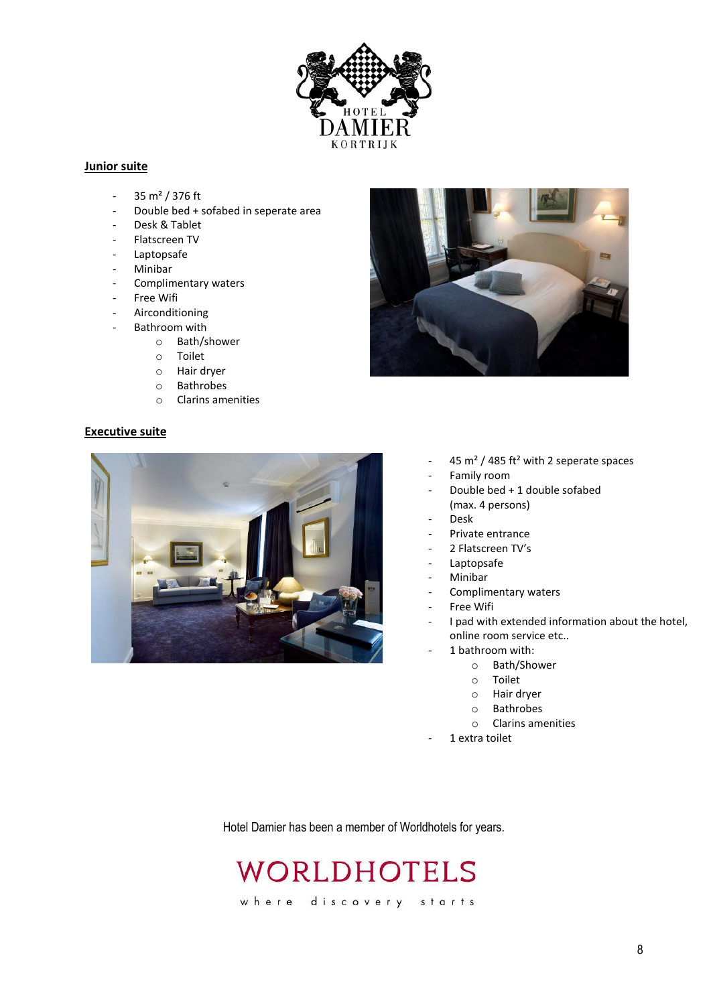

#### **Junior suite**

- $-35 \text{ m}^2 / 376 \text{ ft}$
- Double bed + sofabed in seperate area
- Desk & Tablet
- Flatscreen TV
- Laptopsafe
- **Minibar**
- Complimentary waters
- Free Wifi
- **Airconditioning**
- Bathroom with
	- o Bath/shower
	- o Toilet
	- o Hair dryer
	- o Bathrobes
	- o Clarins amenities

#### **Executive suite**





- 45 m<sup>2</sup> / 485 ft<sup>2</sup> with 2 seperate spaces
- Family room
- Double bed + 1 double sofabed (max. 4 persons)
- Desk
- Private entrance
- 2 Flatscreen TV's
- **Laptopsafe**
- Minibar
- Complimentary waters
- Free Wifi
- I pad with extended information about the hotel, online room service etc..
	- 1 bathroom with:
		- o Bath/Shower
			- o Toilet
			- o Hair dryer
			- o Bathrobes
			- o Clarins amenities
		- 1 extra toilet

Hotel Damier has been a member of Worldhotels for years.

# WORLDHOTELS

where discovery starts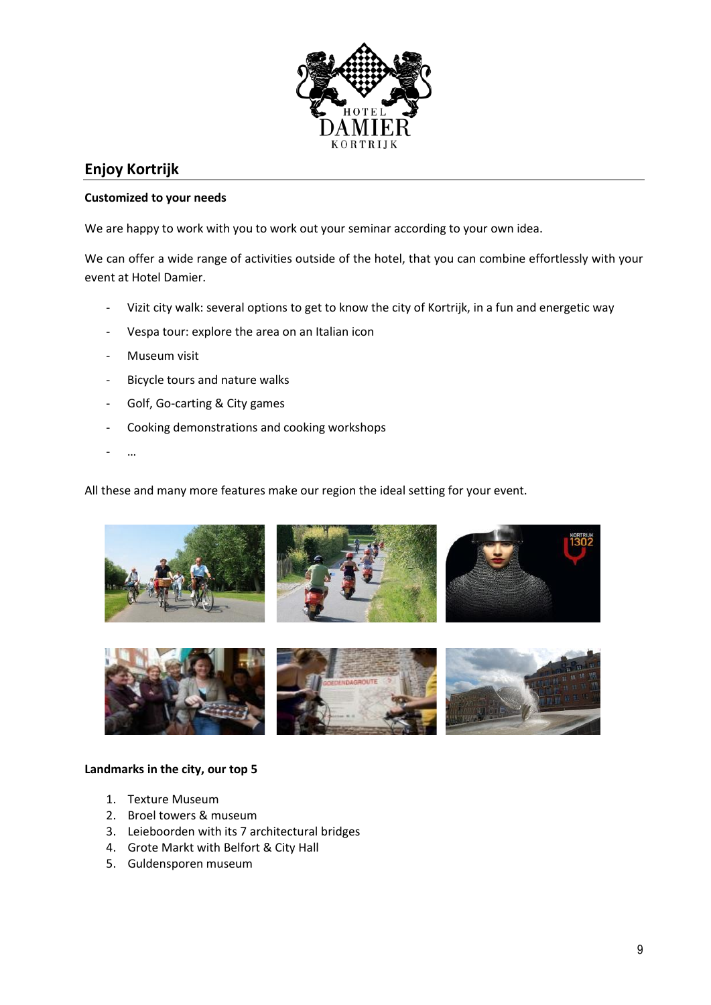

### **Enjoy Kortrijk**

#### **Customized to your needs**

We are happy to work with you to work out your seminar according to your own idea.

We can offer a wide range of activities outside of the hotel, that you can combine effortlessly with your event at Hotel Damier.

- ‐ Vizit city walk: several options to get to know the city of Kortrijk, in a fun and energetic way
- ‐ Vespa tour: explore the area on an Italian icon
- ‐ Museum visit
- ‐ Bicycle tours and nature walks
- ‐ Golf, Go-carting & City games
- ‐ Cooking demonstrations and cooking workshops
- $\ddotsc$

All these and many more features make our region the ideal setting for your event.





#### **Landmarks in the city, our top 5**

- 1. Texture Museum
- 2. Broel towers & museum
- 3. Leieboorden with its 7 architectural bridges
- 4. Grote Markt with Belfort & City Hall
- 5. Guldensporen museum